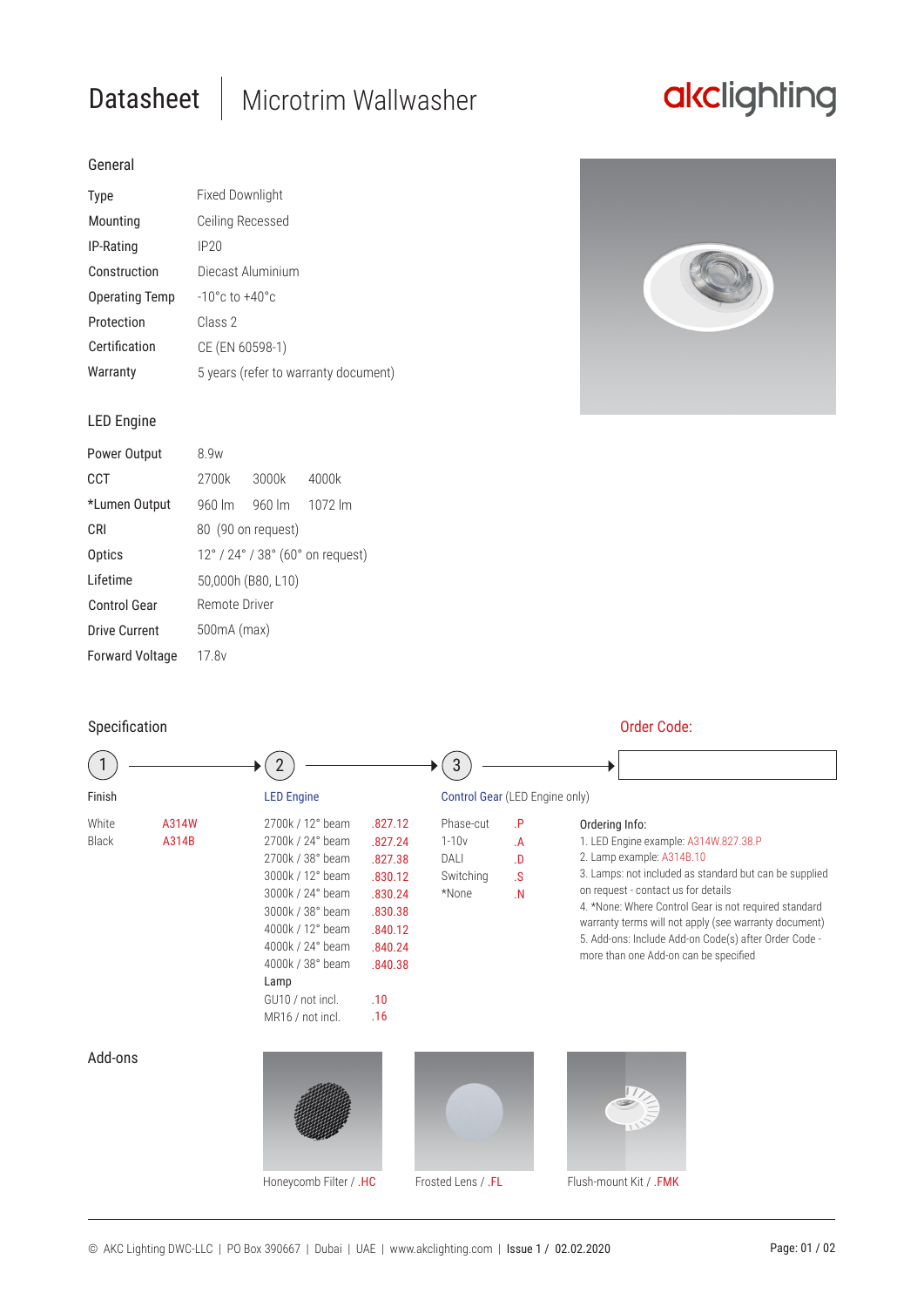# Datasheet | Microtrim Wallwasher

# akclighting

## General

| <b>Type</b>           | <b>Fixed Downlight</b>               |  |  |
|-----------------------|--------------------------------------|--|--|
| Mounting              | Ceiling Recessed                     |  |  |
| IP-Rating             | IP20                                 |  |  |
| Construction          | Diecast Aluminium                    |  |  |
| <b>Operating Temp</b> | $-10^{\circ}$ c to $+40^{\circ}$ c   |  |  |
| Protection            | Class 2                              |  |  |
| Certification         | CE (EN 60598-1)                      |  |  |
| Warranty              | 5 years (refer to warranty document) |  |  |



## LED Engine

| Power Output           | 8 9w                             |                    |                    |  |  |
|------------------------|----------------------------------|--------------------|--------------------|--|--|
| CCT                    | 2700k                            | 3000k              | 4000k              |  |  |
| *Lumen Output          | $960 \, \text{Im}$               | $960 \, \text{Im}$ | $1072 \mathrm{Im}$ |  |  |
| C.RI                   | 80 (90 on request)               |                    |                    |  |  |
| Optics                 | 12° / 24° / 38° (60° on request) |                    |                    |  |  |
| I ifetime              | 50,000h (B80, L10)               |                    |                    |  |  |
| <b>Control Gear</b>    | Remote Driver                    |                    |                    |  |  |
| Drive Current          | 500mA (max)                      |                    |                    |  |  |
| <b>Forward Voltage</b> | 17 Rv                            |                    |                    |  |  |

| Specification         |                |                                                                                                                                                                                                                                  |                                                                                                               | Order Code:                                          |                                                         |                                                                                                                                                                                                                                                                                                                                                                                                           |  |
|-----------------------|----------------|----------------------------------------------------------------------------------------------------------------------------------------------------------------------------------------------------------------------------------|---------------------------------------------------------------------------------------------------------------|------------------------------------------------------|---------------------------------------------------------|-----------------------------------------------------------------------------------------------------------------------------------------------------------------------------------------------------------------------------------------------------------------------------------------------------------------------------------------------------------------------------------------------------------|--|
|                       |                |                                                                                                                                                                                                                                  |                                                                                                               | 3                                                    |                                                         |                                                                                                                                                                                                                                                                                                                                                                                                           |  |
| Finish                |                | <b>LED Engine</b>                                                                                                                                                                                                                |                                                                                                               |                                                      | Control Gear (LED Engine only)                          |                                                                                                                                                                                                                                                                                                                                                                                                           |  |
| White<br><b>Black</b> | A314W<br>A314B | 2700k / 12° beam<br>2700k / 24° beam<br>2700k / 38° beam<br>3000k / 12° beam<br>3000k / 24° beam<br>3000k / 38° beam<br>4000k / 12° beam<br>4000k / 24° beam<br>4000k / 38° beam<br>Lamp<br>GU10 / not incl.<br>MR16 / not incl. | .827.12<br>.827.24<br>.827.38<br>.830.12<br>.830.24<br>.830.38<br>.840.12<br>.840.24<br>.840.38<br>.10<br>.16 | Phase-cut<br>$1 - 10v$<br>DALI<br>Switching<br>*None | $\cdot$ P<br>A<br>.D<br>$\mathcal{S}$<br>$\overline{N}$ | Ordering Info:<br>1. LED Engine example: A314W.827.38.P<br>2. Lamp example: A314B.10<br>3. Lamps: not included as standard but can be supplied<br>on request - contact us for details<br>4. *None: Where Control Gear is not required standard<br>warranty terms will not apply (see warranty document)<br>5. Add-ons: Include Add-on Code(s) after Order Code -<br>more than one Add-on can be specified |  |
| Add-ons               |                | Honeycomb Filter / .HC                                                                                                                                                                                                           |                                                                                                               | Frosted Lens / .FL                                   |                                                         | Flush-mount Kit / .FMK                                                                                                                                                                                                                                                                                                                                                                                    |  |